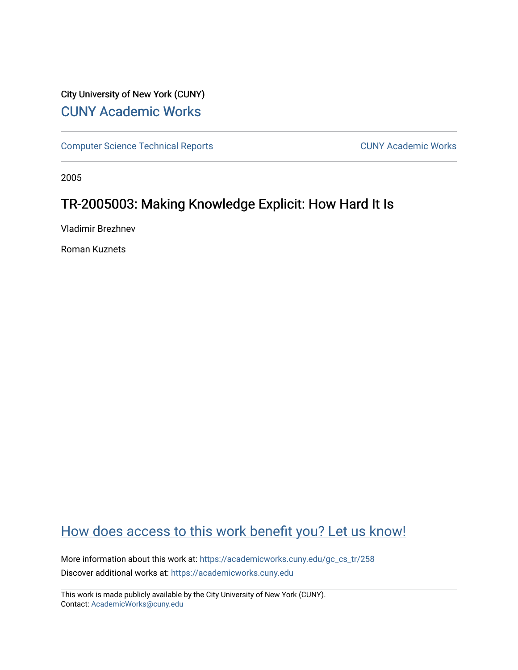## City University of New York (CUNY) [CUNY Academic Works](https://academicworks.cuny.edu/)

[Computer Science Technical Reports](https://academicworks.cuny.edu/gc_cs_tr) **CUNY Academic Works** CUNY Academic Works

2005

# TR-2005003: Making Knowledge Explicit: How Hard It Is

Vladimir Brezhnev

Roman Kuznets

# [How does access to this work benefit you? Let us know!](http://ols.cuny.edu/academicworks/?ref=https://academicworks.cuny.edu/gc_cs_tr/258)

More information about this work at: [https://academicworks.cuny.edu/gc\\_cs\\_tr/258](https://academicworks.cuny.edu/gc_cs_tr/258)  Discover additional works at: [https://academicworks.cuny.edu](https://academicworks.cuny.edu/?)

This work is made publicly available by the City University of New York (CUNY). Contact: [AcademicWorks@cuny.edu](mailto:AcademicWorks@cuny.edu)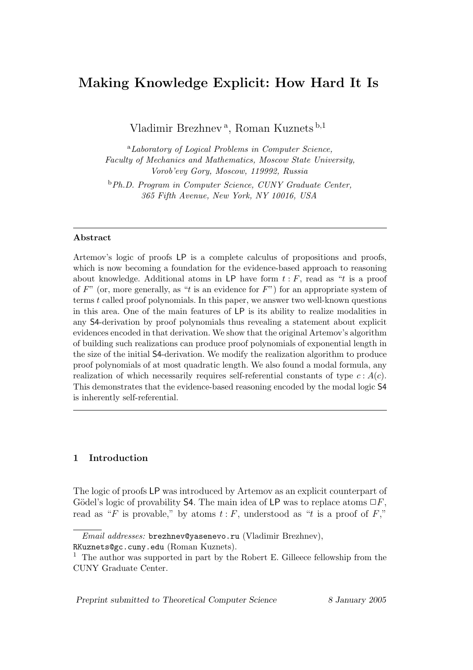## Making Knowledge Explicit: How Hard It Is

Vladimir Brezhnev<sup>a</sup>, Roman Kuznets<sup>b,1</sup>

<sup>a</sup>Laboratory of Logical Problems in Computer Science, Faculty of Mechanics and Mathematics, Moscow State University, Vorob'evy Gory, Moscow, 119992, Russia

<sup>b</sup>Ph.D. Program in Computer Science, CUNY Graduate Center, 365 Fifth Avenue, New York, NY 10016, USA

#### Abstract

Artemov's logic of proofs LP is a complete calculus of propositions and proofs, which is now becoming a foundation for the evidence-based approach to reasoning about knowledge. Additional atoms in LP have form  $t : F$ , read as "t is a proof of  $F^"$  (or, more generally, as "t is an evidence for  $F"$ ) for an appropriate system of terms t called proof polynomials. In this paper, we answer two well-known questions in this area. One of the main features of LP is its ability to realize modalities in any S4-derivation by proof polynomials thus revealing a statement about explicit evidences encoded in that derivation. We show that the original Artemov's algorithm of building such realizations can produce proof polynomials of exponential length in the size of the initial S4-derivation. We modify the realization algorithm to produce proof polynomials of at most quadratic length. We also found a modal formula, any realization of which necessarily requires self-referential constants of type  $c : A(c)$ . This demonstrates that the evidence-based reasoning encoded by the modal logic S4 is inherently self-referential.

## 1 Introduction

The logic of proofs LP was introduced by Artemov as an explicit counterpart of Gödel's logic of provability S4. The main idea of LP was to replace atoms  $\Box F$ , read as "F is provable," by atoms  $t : F$ , understood as "t is a proof of F,"

Preprint submitted to Theoretical Computer Science 8 January 2005

Email addresses: brezhnev@yasenevo.ru (Vladimir Brezhnev),

RKuznets@gc.cuny.edu (Roman Kuznets).

<sup>&</sup>lt;sup>1</sup> The author was supported in part by the Robert E. Gilleece fellowship from the CUNY Graduate Center.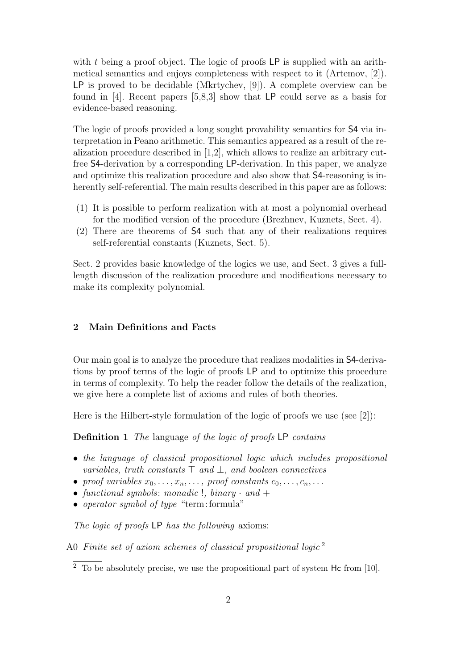with t being a proof object. The logic of proofs LP is supplied with an arithmetical semantics and enjoys completeness with respect to it (Artemov, [2]). LP is proved to be decidable (Mkrtychev, [9]). A complete overview can be found in [4]. Recent papers [5,8,3] show that LP could serve as a basis for evidence-based reasoning.

The logic of proofs provided a long sought provability semantics for S4 via interpretation in Peano arithmetic. This semantics appeared as a result of the realization procedure described in [1,2], which allows to realize an arbitrary cutfree S4-derivation by a corresponding LP-derivation. In this paper, we analyze and optimize this realization procedure and also show that S4-reasoning is inherently self-referential. The main results described in this paper are as follows:

- (1) It is possible to perform realization with at most a polynomial overhead for the modified version of the procedure (Brezhnev, Kuznets, Sect. 4).
- (2) There are theorems of S4 such that any of their realizations requires self-referential constants (Kuznets, Sect. 5).

Sect. 2 provides basic knowledge of the logics we use, and Sect. 3 gives a fulllength discussion of the realization procedure and modifications necessary to make its complexity polynomial.

## 2 Main Definitions and Facts

Our main goal is to analyze the procedure that realizes modalities in S4-derivations by proof terms of the logic of proofs LP and to optimize this procedure in terms of complexity. To help the reader follow the details of the realization, we give here a complete list of axioms and rules of both theories.

Here is the Hilbert-style formulation of the logic of proofs we use (see [2]):

**Definition 1** The language of the logic of proofs LP contains

- the language of classical propositional logic which includes propositional variables, truth constants  $\top$  and  $\bot$ , and boolean connectives
- proof variables  $x_0, \ldots, x_n, \ldots$ , proof constants  $c_0, \ldots, c_n, \ldots$
- functional symbols: monadic !, binary  $\cdot$  and  $+$
- operator symbol of type "term: formula"

The logic of proofs LP has the following axioms:

A0 Finite set of axiom schemes of classical propositional logic<sup>2</sup>

 $2\degree$  To be absolutely precise, we use the propositional part of system Hc from [10].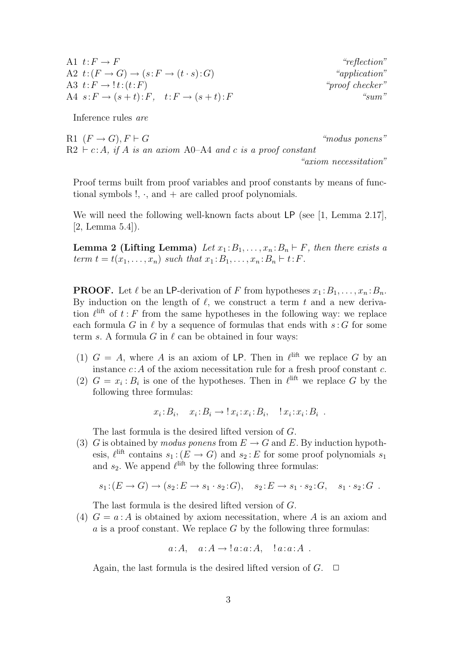| A1 $t: F \to F$                                                  | "reflection"    |
|------------------------------------------------------------------|-----------------|
| A2 $t:(F\rightarrow G)\rightarrow (s:F\rightarrow (t\cdot s):G)$ | "application"   |
| A3 $t: F \rightarrow \mathcal{I}t: (t:F)$                        | "proof checker" |
| A4 $s: F \to (s+t): F$ , $t: F \to (s+t): F$                     | " $sum"$        |

Inference rules are

R1  $(F \rightarrow G)$ ,  $F \vdash G$  "modus ponens"  $R2 \vdash c:A$ , if A is an axiom A0–A4 and c is a proof constant "axiom necessitation"

Proof terms built from proof variables and proof constants by means of functional symbols  $!, \cdot$ , and  $+$  are called proof polynomials.

We will need the following well-known facts about LP (see [1, Lemma 2.17], [2, Lemma 5.4]).

Lemma 2 (Lifting Lemma) Let  $x_1 : B_1, \ldots, x_n : B_n \vdash F$ , then there exists a term  $t = t(x_1, ..., x_n)$  such that  $x_1 : B_1, ..., x_n : B_n \vdash t : F$ .

**PROOF.** Let  $\ell$  be an LP-derivation of F from hypotheses  $x_1 : B_1, \ldots, x_n : B_n$ . By induction on the length of  $\ell$ , we construct a term t and a new derivation  $\ell^{\text{lift}}$  of  $t : F$  from the same hypotheses in the following way: we replace each formula G in  $\ell$  by a sequence of formulas that ends with  $s: G$  for some term s. A formula G in  $\ell$  can be obtained in four ways:

- (1)  $G = A$ , where A is an axiom of LP. Then in  $\ell^{\text{lift}}$  we replace G by an instance  $c: A$  of the axiom necessitation rule for a fresh proof constant  $c$ .
- (2)  $G = x_i : B_i$  is one of the hypotheses. Then in  $\ell^{\text{lift}}$  we replace G by the following three formulas:

$$
x_i:B_i, \quad x_i:B_i \to \mathop{!} x_i:x_i:B_i, \quad \mathop{!} x_i:x_i:B_i .
$$

The last formula is the desired lifted version of G.

(3) G is obtained by modus ponens from  $E \to G$  and E. By induction hypothesis,  $\ell^{\text{lift}}$  contains  $s_1$ :  $(E \to G)$  and  $s_2$ : E for some proof polynomials  $s_1$ and  $s_2$ . We append  $\ell^{\text{lift}}$  by the following three formulas:

$$
s_1:(E \to G) \to (s_2: E \to s_1 \cdot s_2:G), \quad s_2: E \to s_1 \cdot s_2:G, \quad s_1 \cdot s_2:G.
$$

The last formula is the desired lifted version of G.

(4)  $G = a : A$  is obtained by axiom necessitation, where A is an axiom and a is a proof constant. We replace  $G$  by the following three formulas:

$$
a:A, a:A \rightarrow !a:a:A, !a:a:A.
$$

Again, the last formula is the desired lifted version of  $G$ .  $\Box$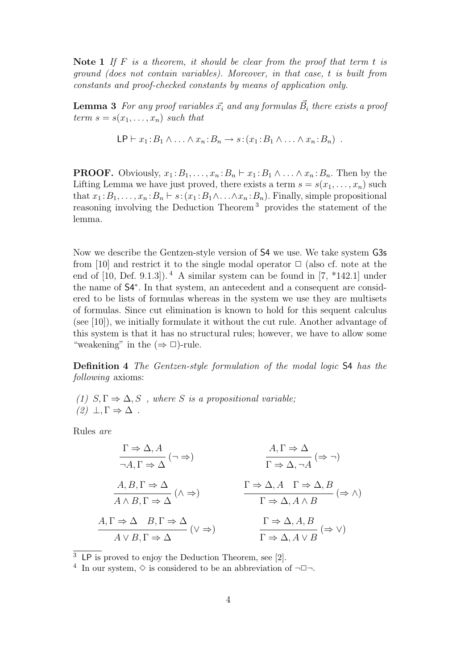Note 1 If F is a theorem, it should be clear from the proof that term t is ground (does not contain variables). Moreover, in that case, t is built from constants and proof-checked constants by means of application only.

**Lemma 3** For any proof variables  $\vec{x_i}$  and any formulas  $\vec{B_i}$  there exists a proof term  $s = s(x_1, \ldots, x_n)$  such that

$$
\mathsf{LP}\vdash x_1:B_1\wedge\ldots\wedge x_n:B_n\to s\colon (x_1:B_1\wedge\ldots\wedge x_n:B_n)\ .
$$

**PROOF.** Obviously,  $x_1 : B_1, \ldots, x_n : B_n \vdash x_1 : B_1 \wedge \ldots \wedge x_n : B_n$ . Then by the Lifting Lemma we have just proved, there exists a term  $s = s(x_1, \ldots, x_n)$  such that  $x_1 : B_1, \ldots, x_n : B_n \vdash s : (x_1 : B_1 \wedge \ldots \wedge x_n : B_n)$ . Finally, simple propositional reasoning involving the Deduction Theorem <sup>3</sup> provides the statement of the lemma.

Now we describe the Gentzen-style version of S4 we use. We take system G3s from [10] and restrict it to the single modal operator  $\Box$  (also cf. note at the end of  $[10, \text{Def. } 9.1.3]$ .  $^4$  A similar system can be found in  $[7, *142.1]$  under the name of S4<sup>∗</sup> . In that system, an antecedent and a consequent are considered to be lists of formulas whereas in the system we use they are multisets of formulas. Since cut elimination is known to hold for this sequent calculus (see [10]), we initially formulate it without the cut rule. Another advantage of this system is that it has no structural rules; however, we have to allow some "weakening" in the  $(\Rightarrow \Box)$ -rule.

Definition 4 The Gentzen-style formulation of the modal logic S4 has the following axioms:

(1)  $S, \Gamma \Rightarrow \Delta, S$ , where S is a propositional variable;  $(2) \perp, \Gamma \Rightarrow \Delta$ .

Rules are

$$
\frac{\Gamma \Rightarrow \Delta, A}{\neg A, \Gamma \Rightarrow \Delta} (\neg \Rightarrow) \qquad \qquad \frac{A, \Gamma \Rightarrow \Delta}{\Gamma \Rightarrow \Delta, \neg A} (\Rightarrow \neg)
$$
\n
$$
\frac{A, B, \Gamma \Rightarrow \Delta}{A \land B, \Gamma \Rightarrow \Delta} (\land \Rightarrow) \qquad \qquad \frac{\Gamma \Rightarrow \Delta, A \quad \Gamma \Rightarrow \Delta, B}{\Gamma \Rightarrow \Delta, A \land B} (\Rightarrow \land)
$$
\n
$$
\frac{A, \Gamma \Rightarrow \Delta}{A \lor B, \Gamma \Rightarrow \Delta} (\lor \Rightarrow) \qquad \qquad \frac{\Gamma \Rightarrow \Delta, A, B}{\Gamma \Rightarrow \Delta, A \land B} (\Rightarrow \lor)
$$

 $\overline{3}$  LP is proved to enjoy the Deduction Theorem, see [2].

<sup>4</sup> In our system,  $\diamond$  is considered to be an abbreviation of  $\neg \Box \neg$ .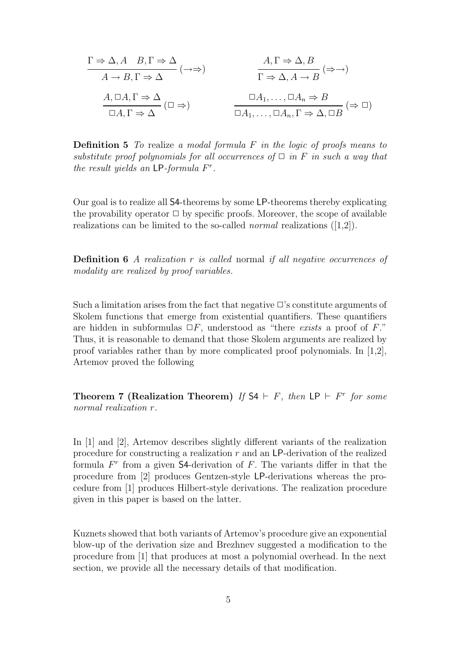$$
\Gamma \Rightarrow \Delta, A \quad B, \Gamma \Rightarrow \Delta
$$
\n
$$
A \rightarrow B, \Gamma \Rightarrow \Delta
$$
\n
$$
\Gamma \Rightarrow \Delta, A \rightarrow B \quad (\Rightarrow \Rightarrow)
$$
\n
$$
\Gamma \Rightarrow \Delta, A \rightarrow B \quad (\Rightarrow \Rightarrow)
$$
\n
$$
\Gamma \Rightarrow \Delta, A \rightarrow B \quad (\Rightarrow \Rightarrow)
$$
\n
$$
\Gamma \Rightarrow \Delta, A \rightarrow B \quad (\Rightarrow \Rightarrow)
$$
\n
$$
\Box A_1, \dots, \Box A_n \Rightarrow B
$$
\n
$$
\Box A_1, \dots, \Box A_n, \Gamma \Rightarrow \Delta, \Box B \quad (\Rightarrow \Box)
$$

**Definition 5** To realize a modal formula  $F$  in the logic of proofs means to substitute proof polynomials for all occurrences of  $\Box$  in F in such a way that the result yields an  $\mathsf{LP}\text{-}formula F^r$ .

Our goal is to realize all S4-theorems by some LP-theorems thereby explicating the provability operator  $\Box$  by specific proofs. Moreover, the scope of available realizations can be limited to the so-called *normal* realizations  $([1,2])$ .

**Definition 6** A realization  $r$  is called normal if all negative occurrences of modality are realized by proof variables.

Such a limitation arises from the fact that negative  $\Box$ 's constitute arguments of Skolem functions that emerge from existential quantifiers. These quantifiers are hidden in subformulas  $\Box F$ , understood as "there exists a proof of F." Thus, it is reasonable to demand that those Skolem arguments are realized by proof variables rather than by more complicated proof polynomials. In [1,2], Artemov proved the following

Theorem 7 (Realization Theorem) If  $S4 \vdash F$ , then LP  $\vdash F^r$  for some normal realization r.

In [1] and [2], Artemov describes slightly different variants of the realization procedure for constructing a realization  $r$  and an LP-derivation of the realized formula  $F^r$  from a given S4-derivation of  $F$ . The variants differ in that the procedure from [2] produces Gentzen-style LP-derivations whereas the procedure from [1] produces Hilbert-style derivations. The realization procedure given in this paper is based on the latter.

Kuznets showed that both variants of Artemov's procedure give an exponential blow-up of the derivation size and Brezhnev suggested a modification to the procedure from [1] that produces at most a polynomial overhead. In the next section, we provide all the necessary details of that modification.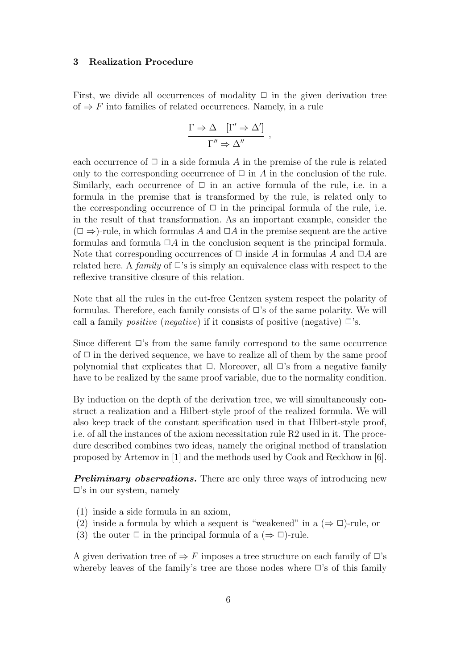### 3 Realization Procedure

First, we divide all occurrences of modality  $\Box$  in the given derivation tree of  $\Rightarrow$  F into families of related occurrences. Namely, in a rule

$$
\frac{\Gamma \Rightarrow \Delta \quad [\Gamma' \Rightarrow \Delta']}{\Gamma'' \Rightarrow \Delta''} ,
$$

each occurrence of  $\Box$  in a side formula A in the premise of the rule is related only to the corresponding occurrence of  $\Box$  in A in the conclusion of the rule. Similarly, each occurrence of  $\Box$  in an active formula of the rule, i.e. in a formula in the premise that is transformed by the rule, is related only to the corresponding occurrence of  $\Box$  in the principal formula of the rule, i.e. in the result of that transformation. As an important example, consider the  $(\Box \Rightarrow)$ -rule, in which formulas A and  $\Box A$  in the premise sequent are the active formulas and formula  $\Box A$  in the conclusion sequent is the principal formula. Note that corresponding occurrences of  $\Box$  inside A in formulas A and  $\Box A$  are related here. A family of  $\Box$ 's is simply an equivalence class with respect to the reflexive transitive closure of this relation.

Note that all the rules in the cut-free Gentzen system respect the polarity of formulas. Therefore, each family consists of  $\Box$ 's of the same polarity. We will call a family *positive* (*negative*) if it consists of positive (*negative*)  $\Box$ 's.

Since different  $\Box$ 's from the same family correspond to the same occurrence of  $\Box$  in the derived sequence, we have to realize all of them by the same proof polynomial that explicates that  $\Box$ . Moreover, all  $\Box$ 's from a negative family have to be realized by the same proof variable, due to the normality condition.

By induction on the depth of the derivation tree, we will simultaneously construct a realization and a Hilbert-style proof of the realized formula. We will also keep track of the constant specification used in that Hilbert-style proof, i.e. of all the instances of the axiom necessitation rule R2 used in it. The procedure described combines two ideas, namely the original method of translation proposed by Artemov in [1] and the methods used by Cook and Reckhow in [6].

**Preliminary observations.** There are only three ways of introducing new  $\square$ 's in our system, namely

- (1) inside a side formula in an axiom,
- (2) inside a formula by which a sequent is "weakened" in a  $(\Rightarrow \Box)$ -rule, or
- (3) the outer  $\Box$  in the principal formula of a ( $\Rightarrow$   $\Box$ )-rule.

A given derivation tree of  $\Rightarrow$  F imposes a tree structure on each family of  $\Box$ 's whereby leaves of the family's tree are those nodes where  $\Box$ 's of this family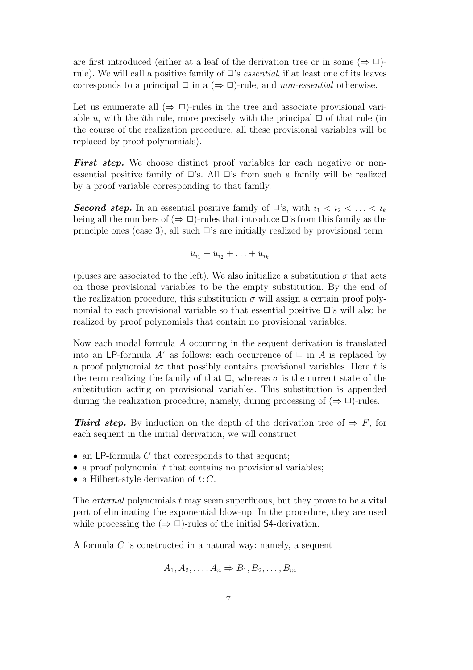are first introduced (either at a leaf of the derivation tree or in some  $(\Rightarrow \Box)$ rule). We will call a positive family of  $\Box$ 's *essential*, if at least one of its leaves corresponds to a principal  $\Box$  in a ( $\Rightarrow$   $\Box$ )-rule, and *non-essential* otherwise.

Let us enumerate all  $(\Rightarrow \Box)$ -rules in the tree and associate provisional variable  $u_i$  with the *i*th rule, more precisely with the principal  $\Box$  of that rule (in the course of the realization procedure, all these provisional variables will be replaced by proof polynomials).

**First step.** We choose distinct proof variables for each negative or nonessential positive family of  $\Box$ 's. All  $\Box$ 's from such a family will be realized by a proof variable corresponding to that family.

**Second step.** In an essential positive family of  $\Box$ 's, with  $i_1 < i_2 < \ldots < i_k$ being all the numbers of  $(\Rightarrow \Box)$ -rules that introduce  $\Box$ 's from this family as the principle ones (case 3), all such  $\Box$ 's are initially realized by provisional term

$$
u_{i_1}+u_{i_2}+\ldots+u_{i_k}
$$

(pluses are associated to the left). We also initialize a substitution  $\sigma$  that acts on those provisional variables to be the empty substitution. By the end of the realization procedure, this substitution  $\sigma$  will assign a certain proof polynomial to each provisional variable so that essential positive  $\Box$ 's will also be realized by proof polynomials that contain no provisional variables.

Now each modal formula A occurring in the sequent derivation is translated into an LP-formula  $A^r$  as follows: each occurrence of  $\Box$  in A is replaced by a proof polynomial  $t\sigma$  that possibly contains provisional variables. Here t is the term realizing the family of that  $\Box$ , whereas  $\sigma$  is the current state of the substitution acting on provisional variables. This substitution is appended during the realization procedure, namely, during processing of  $(\Rightarrow \Box)$ -rules.

**Third step.** By induction on the depth of the derivation tree of  $\Rightarrow$  F, for each sequent in the initial derivation, we will construct

- an LP-formula  $C$  that corresponds to that sequent;
- a proof polynomial  $t$  that contains no provisional variables;
- a Hilbert-style derivation of  $t:C$ .

The *external* polynomials t may seem superfluous, but they prove to be a vital part of eliminating the exponential blow-up. In the procedure, they are used while processing the  $(\Rightarrow \Box)$ -rules of the initial S4-derivation.

A formula C is constructed in a natural way: namely, a sequent

$$
A_1, A_2, \ldots, A_n \Rightarrow B_1, B_2, \ldots, B_m
$$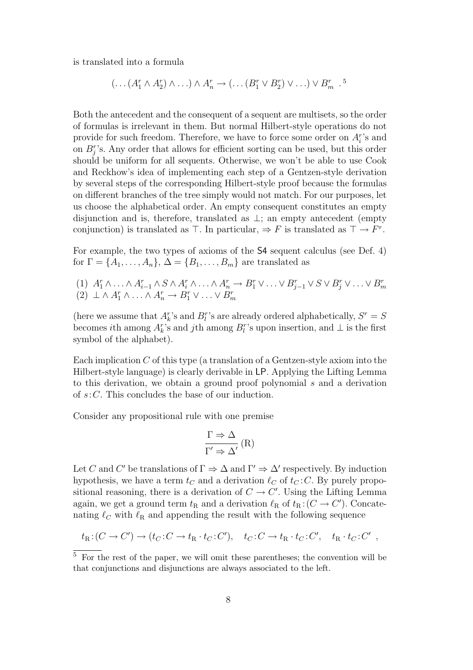is translated into a formula

$$
(\ldots (A_1^r \wedge A_2^r) \wedge \ldots) \wedge A_n^r \rightarrow (\ldots (B_1^r \vee B_2^r) \vee \ldots) \vee B_m^r
$$
.<sup>5</sup>

Both the antecedent and the consequent of a sequent are multisets, so the order of formulas is irrelevant in them. But normal Hilbert-style operations do not provide for such freedom. Therefore, we have to force some order on  $A_i^r$ 's and on  $B_j^r$ 's. Any order that allows for efficient sorting can be used, but this order should be uniform for all sequents. Otherwise, we won't be able to use Cook and Reckhow's idea of implementing each step of a Gentzen-style derivation by several steps of the corresponding Hilbert-style proof because the formulas on different branches of the tree simply would not match. For our purposes, let us choose the alphabetical order. An empty consequent constitutes an empty disjunction and is, therefore, translated as  $\perp$ ; an empty antecedent (empty conjunction) is translated as  $\top$ . In particular,  $\Rightarrow$  F is translated as  $\top \rightarrow F^r$ .

For example, the two types of axioms of the S4 sequent calculus (see Def. 4) for  $\Gamma = \{A_1, \ldots, A_n\}, \Delta = \{B_1, \ldots, B_m\}$  are translated as

(1)  $A_1^r \wedge \ldots \wedge A_{i-1}^r \wedge S \wedge A_i^r \wedge \ldots \wedge A_n^r \rightarrow B_1^r \vee \ldots \vee B_{j-1}^r \vee S \vee B_j^r \vee \ldots \vee B_m^r$ <br>
(2)  $\perp \wedge A_1^r \wedge \ldots \wedge A_n^r \rightarrow B_1^r \vee \ldots \vee B_m^r$ 

(here we assume that  $A_k^r$ 's and  $B_l^r$ 's are already ordered alphabetically,  $S^r = S$ becomes *i*th among  $A_k^r$ 's and *j*th among  $B_l^r$ 's upon insertion, and  $\perp$  is the first symbol of the alphabet).

Each implication  $C$  of this type (a translation of a Gentzen-style axiom into the Hilbert-style language) is clearly derivable in LP. Applying the Lifting Lemma to this derivation, we obtain a ground proof polynomial s and a derivation of s:C. This concludes the base of our induction.

Consider any propositional rule with one premise

$$
\frac{\Gamma \Rightarrow \Delta}{\Gamma' \Rightarrow \Delta'}\left(R\right)
$$

Let C and C' be translations of  $\Gamma \Rightarrow \Delta$  and  $\Gamma' \Rightarrow \Delta'$  respectively. By induction hypothesis, we have a term  $t_C$  and a derivation  $\ell_C$  of  $t_C$ : C. By purely propositional reasoning, there is a derivation of  $C \to C'$ . Using the Lifting Lemma again, we get a ground term  $t_R$  and a derivation  $\ell_R$  of  $t_R$ :  $(C \to C')$ . Concatenating  $\ell_{\rm C}$  with  $\ell_{\rm R}$  and appending the result with the following sequence

$$
t_{\mathcal{R}}:(C \to C') \to (t_C:C \to t_{\mathcal{R}} \cdot t_C:C'), \quad t_C:C \to t_{\mathcal{R}} \cdot t_C:C', \quad t_{\mathcal{R}} \cdot t_C:C'
$$
,

 $\overline{5}$  For the rest of the paper, we will omit these parentheses; the convention will be that conjunctions and disjunctions are always associated to the left.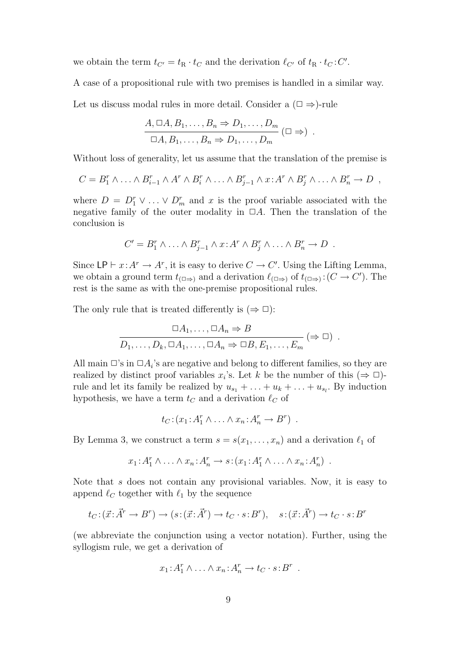we obtain the term  $t_{C'} = t_{R} \cdot t_{C}$  and the derivation  $\ell_{C'}$  of  $t_{R} \cdot t_{C}$ :  $C'$ .

A case of a propositional rule with two premises is handled in a similar way.

Let us discuss modal rules in more detail. Consider a  $(\Box \Rightarrow)$ -rule

$$
\frac{A, \Box A, B_1, \ldots, B_n \Rightarrow D_1, \ldots, D_m}{\Box A, B_1, \ldots, B_n \Rightarrow D_1, \ldots, D_m} (\Box \Rightarrow) .
$$

Without loss of generality, let us assume that the translation of the premise is

$$
C = B_1^r \wedge \ldots \wedge B_{i-1}^r \wedge A^r \wedge B_i^r \wedge \ldots \wedge B_{j-1}^r \wedge x : A^r \wedge B_j^r \wedge \ldots \wedge B_n^r \rightarrow D ,
$$

where  $D = D_1^r \vee \ldots \vee D_m^r$  and x is the proof variable associated with the negative family of the outer modality in  $\Box A$ . Then the translation of the conclusion is

$$
C' = B_1^r \wedge \ldots \wedge B_{j-1}^r \wedge x : A^r \wedge B_j^r \wedge \ldots \wedge B_n^r \to D \ .
$$

Since  $LP \vdash x : A^r \to A^r$ , it is easy to derive  $C \to C'$ . Using the Lifting Lemma, we obtain a ground term  $t_{(\Box \Rightarrow)}$  and a derivation  $\ell_{(\Box \Rightarrow)}$  of  $t_{(\Box \Rightarrow)}$ :  $(C \to C')$ . The rest is the same as with the one-premise propositional rules.

The only rule that is treated differently is  $(\Rightarrow \Box)$ :

$$
\Box A_1, \dots, \Box A_n \Rightarrow B
$$
  

$$
D_1, \dots, D_k, \Box A_1, \dots, \Box A_n \Rightarrow \Box B, E_1, \dots, E_m \; (\Rightarrow \Box) .
$$

All main  $\Box$ 's in  $\Box A_i$ 's are negative and belong to different families, so they are realized by distinct proof variables  $x_i$ 's. Let k be the number of this  $(\Rightarrow \Box)$ rule and let its family be realized by  $u_{s_1} + \ldots + u_k + \ldots + u_{s_l}$ . By induction hypothesis, we have a term  $t_C$  and a derivation  $\ell_C$  of

$$
t_C: (x_1: A_1^r \wedge \ldots \wedge x_n: A_n^r \rightarrow B^r) \ .
$$

By Lemma 3, we construct a term  $s = s(x_1, \ldots, x_n)$  and a derivation  $\ell_1$  of

$$
x_1: A_1^r \wedge \ldots \wedge x_n: A_n^r \to s: (x_1: A_1^r \wedge \ldots \wedge x_n: A_n^r) \ .
$$

Note that s does not contain any provisional variables. Now, it is easy to append  $\ell_C$  together with  $\ell_1$  by the sequence

$$
t_C: (\vec{x}: \vec{A}^r \to B^r) \to (s: (\vec{x}: \vec{A}^r) \to t_C \cdot s: B^r), \quad s: (\vec{x}: \vec{A}^r) \to t_C \cdot s: B^r
$$

(we abbreviate the conjunction using a vector notation). Further, using the syllogism rule, we get a derivation of

$$
x_1: A_1^r \wedge \ldots \wedge x_n: A_n^r \to t_C \cdot s: B^r .
$$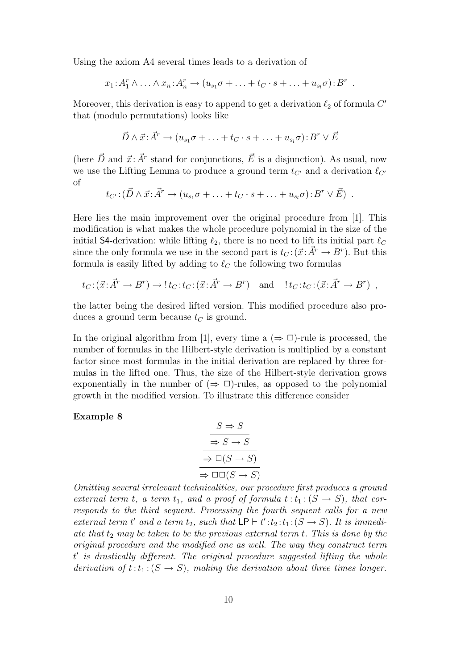Using the axiom A4 several times leads to a derivation of

$$
x_1: A_1^r \wedge \ldots \wedge x_n: A_n^r \to (u_{s_1}\sigma + \ldots + t_C \cdot s + \ldots + u_{s_l}\sigma): B^r.
$$

Moreover, this derivation is easy to append to get a derivation  $\ell_2$  of formula  $C'$ that (modulo permutations) looks like

$$
\vec{D} \wedge \vec{x} : \vec{A}^r \to (u_{s_1}\sigma + \ldots + t_C \cdot s + \ldots + u_{s_l}\sigma) : B^r \vee \vec{E}
$$

(here  $\vec{D}$  and  $\vec{x}$ :  $\vec{A}^r$  stand for conjunctions,  $\vec{E}$  is a disjunction). As usual, now we use the Lifting Lemma to produce a ground term  $t_{C'}$  and a derivation  $\ell_{C'}$ of

$$
t_{C'}:(\vec{D}\wedge\vec{x};\vec{A'}\rightarrow(u_{s_1}\sigma+\ldots+t_C\cdot s+\ldots+u_{s_l}\sigma):B^r\vee\vec{E})
$$
.

Here lies the main improvement over the original procedure from [1]. This modification is what makes the whole procedure polynomial in the size of the initial S4-derivation: while lifting  $\ell_2$ , there is no need to lift its initial part  $\ell_C$ since the only formula we use in the second part is  $t_C : (\vec{x} : \vec{A}^r \to B^r)$ . But this formula is easily lifted by adding to  $\ell_{\mathcal{C}}$  the following two formulas

$$
t_C: (\vec{x}: \vec{A}^r \to B^r) \to !t_C: t_C: (\vec{x}: \vec{A}^r \to B^r)
$$
 and  $l_t: t_C: (\vec{x}: \vec{A}^r \to B^r)$ ,

the latter being the desired lifted version. This modified procedure also produces a ground term because  $t_C$  is ground.

In the original algorithm from [1], every time a  $(\Rightarrow \Box)$ -rule is processed, the number of formulas in the Hilbert-style derivation is multiplied by a constant factor since most formulas in the initial derivation are replaced by three formulas in the lifted one. Thus, the size of the Hilbert-style derivation grows exponentially in the number of  $(\Rightarrow \Box)$ -rules, as opposed to the polynomial growth in the modified version. To illustrate this difference consider

### Example 8

$$
S \Rightarrow S
$$
  
\n
$$
\Rightarrow S \rightarrow S
$$
  
\n
$$
\Rightarrow \Box(S \rightarrow S)
$$
  
\n
$$
\Rightarrow \Box \Box(S \rightarrow S)
$$

Omitting several irrelevant technicalities, our procedure first produces a ground external term t, a term  $t_1$ , and a proof of formula  $t : t_1 : (S \to S)$ , that corresponds to the third sequent. Processing the fourth sequent calls for a new external term t' and a term  $t_2$ , such that  $\textsf{LP} \vdash t' : t_2 : t_1 : (S \to S)$ . It is immediate that  $t_2$  may be taken to be the previous external term  $t$ . This is done by the original procedure and the modified one as well. The way they construct term t ′ is drastically different. The original procedure suggested lifting the whole derivation of  $t:t_1:(S \to S)$ , making the derivation about three times longer.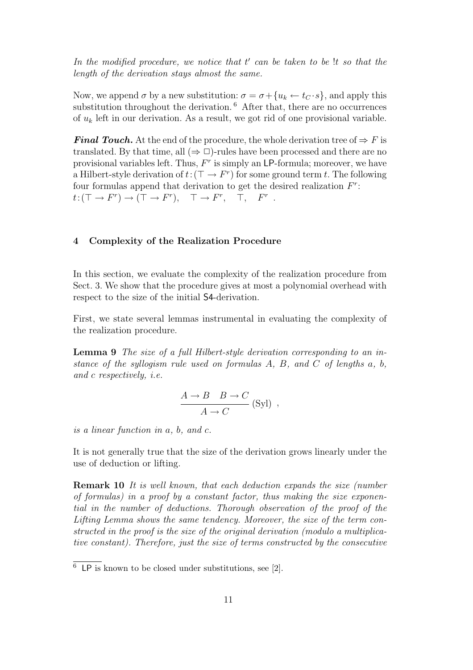In the modified procedure, we notice that  $t'$  can be taken to be !t so that the length of the derivation stays almost the same.

Now, we append  $\sigma$  by a new substitution:  $\sigma = \sigma + \{u_k \leftarrow t_C \cdot s\}$ , and apply this substitution throughout the derivation. <sup>6</sup> After that, there are no occurrences of  $u_k$  left in our derivation. As a result, we got rid of one provisional variable.

**Final Touch.** At the end of the procedure, the whole derivation tree of  $\Rightarrow$  F is translated. By that time, all  $(\Rightarrow \Box)$ -rules have been processed and there are no provisional variables left. Thus,  $F<sup>r</sup>$  is simply an LP-formula; moreover, we have a Hilbert-style derivation of  $t: (\top \to F^r)$  for some ground term t. The following four formulas append that derivation to get the desired realization  $F^r$ :  $t: (\top \to F^r) \to (\top \to F^r), \quad \top \to F^r, \quad \top, \quad F^r.$ 

### 4 Complexity of the Realization Procedure

In this section, we evaluate the complexity of the realization procedure from Sect. 3. We show that the procedure gives at most a polynomial overhead with respect to the size of the initial S4-derivation.

First, we state several lemmas instrumental in evaluating the complexity of the realization procedure.

Lemma 9 The size of a full Hilbert-style derivation corresponding to an instance of the syllogism rule used on formulas A, B, and C of lengths  $a, b$ , and c respectively, i.e.

$$
\frac{A \to B \quad B \to C}{A \to C} \text{ (Syl) },
$$

is a linear function in a, b, and c.

It is not generally true that the size of the derivation grows linearly under the use of deduction or lifting.

Remark 10 It is well known, that each deduction expands the size (number of formulas) in a proof by a constant factor, thus making the size exponential in the number of deductions. Thorough observation of the proof of the Lifting Lemma shows the same tendency. Moreover, the size of the term constructed in the proof is the size of the original derivation (modulo a multiplicative constant). Therefore, just the size of terms constructed by the consecutive

 $\overline{6}$  LP is known to be closed under substitutions, see [2].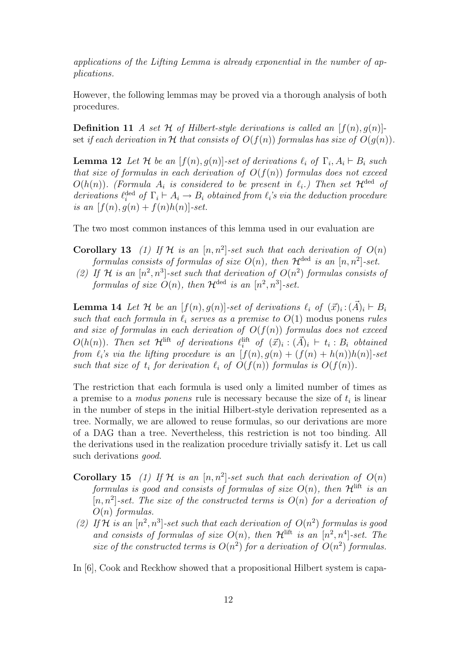applications of the Lifting Lemma is already exponential in the number of applications.

However, the following lemmas may be proved via a thorough analysis of both procedures.

**Definition 11** A set H of Hilbert-style derivations is called an  $[f(n), q(n)]$ set if each derivation in H that consists of  $O(f(n))$  formulas has size of  $O(g(n))$ .

**Lemma 12** Let H be an  $[f(n), g(n)]$ -set of derivations  $\ell_i$  of  $\Gamma_i, A_i \vdash B_i$  such that size of formulas in each derivation of  $O(f(n))$  formulas does not exceed  $O(h(n))$ . (Formula  $A_i$  is considered to be present in  $\ell_i$ .) Then set  $\mathcal{H}^{\text{ded}}$  of derivations  $\ell_i^{\text{ded}}$  of  $\Gamma_i \vdash A_i \rightarrow B_i$  obtained from  $\ell_i$ 's via the deduction procedure is an  $[f(n), g(n) + f(n)h(n)]$ -set.

The two most common instances of this lemma used in our evaluation are

- **Corollary 13** (1) If H is an  $[n, n^2]$ -set such that each derivation of  $O(n)$ formulas consists of formulas of size  $O(n)$ , then  $\mathcal{H}^{\text{ded}}$  is an  $[n, n^2]$ -set.
- (2) If H is an  $[n^2, n^3]$ -set such that derivation of  $O(n^2)$  formulas consists of formulas of size  $O(n)$ , then  $\mathcal{H}^{\text{ded}}$  is an  $[n^2, n^3]$ -set.

**Lemma 14** Let H be an  $[f(n), g(n)]$ -set of derivations  $\ell_i$  of  $(\vec{x})_i : (\vec{A})_i \vdash B_i$ such that each formula in  $\ell_i$  serves as a premise to  $O(1)$  modus ponens rules and size of formulas in each derivation of  $O(f(n))$  formulas does not exceed  $O(h(n))$ . Then set  $\mathcal{H}^{\text{lift}}$  of derivations  $\ell_i^{\text{lift}}$  of  $(\vec{x})_i : (\vec{A})_i \vdash t_i : B_i$  obtained from  $\ell_i$ 's via the lifting procedure is an  $[f(n), g(n) + (f(n) + h(n))h(n)]$ -set such that size of  $t_i$  for derivation  $\ell_i$  of  $O(f(n))$  formulas is  $O(f(n))$ .

The restriction that each formula is used only a limited number of times as a premise to a *modus ponens* rule is necessary because the size of  $t_i$  is linear in the number of steps in the initial Hilbert-style derivation represented as a tree. Normally, we are allowed to reuse formulas, so our derivations are more of a DAG than a tree. Nevertheless, this restriction is not too binding. All the derivations used in the realization procedure trivially satisfy it. Let us call such derivations *good*.

- **Corollary 15** (1) If H is an  $[n, n^2]$ -set such that each derivation of  $O(n)$ formulas is good and consists of formulas of size  $O(n)$ , then  $\mathcal{H}^{\text{lift}}$  is an  $[n, n^2]$ -set. The size of the constructed terms is  $O(n)$  for a derivation of  $O(n)$  formulas.
- (2) If H is an  $[n^2, n^3]$ -set such that each derivation of  $O(n^2)$  formulas is good and consists of formulas of size  $O(n)$ , then  $\mathcal{H}^{\text{lift}}$  is an  $[n^2, n^4]$ -set. The size of the constructed terms is  $O(n^2)$  for a derivation of  $O(n^2)$  formulas.
- In [6], Cook and Reckhow showed that a propositional Hilbert system is capa-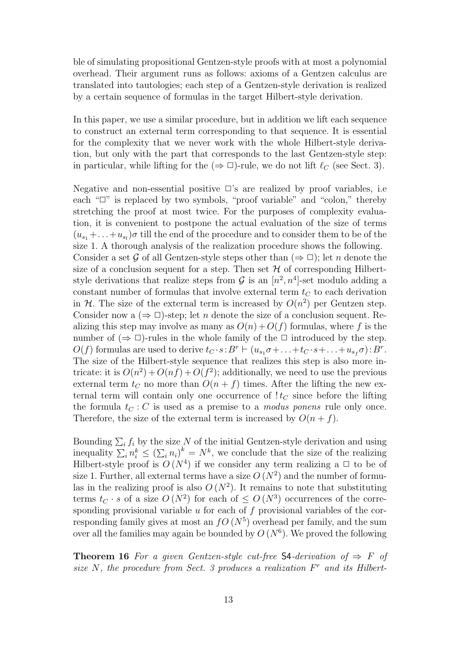ble of simulating propositional Gentzen-style proofs with at most a polynomial overhead. Their argument runs as follows: axioms of a Gentzen calculus are translated into tautologies; each step of a Gentzen-style derivation is realized by a certain sequence of formulas in the target Hilbert-style derivation.

In this paper, we use a similar procedure, but in addition we lift each sequence to construct an external term corresponding to that sequence. It is essential for the complexity that we never work with the whole Hilbert-style derivation, but only with the part that corresponds to the last Gentzen-style step: in particular, while lifting for the  $(\Rightarrow \Box)$ -rule, we do not lift  $\ell_C$  (see Sect. 3).

Negative and non-essential positive  $\Box$ 's are realized by proof variables, i.e. each " $\Box$ " is replaced by two symbols, "proof variable" and "colon," thereby stretching the proof at most twice. For the purposes of complexity evaluation, it is convenient to postpone the actual evaluation of the size of terms  $(u_{s_1} + \ldots + u_{s_l})\sigma$  till the end of the procedure and to consider them to be of the size 1. A thorough analysis of the realization procedure shows the following. Consider a set G of all Gentzen-style steps other than  $(\Rightarrow \Box)$ ; let n denote the size of a conclusion sequent for a step. Then set  $\mathcal H$  of corresponding Hilbertstyle derivations that realize steps from  $G$  is an  $[n^2, n^4]$ -set modulo adding a constant number of formulas that involve external term  $t_C$  to each derivation in H. The size of the external term is increased by  $O(n^2)$  per Gentzen step. Consider now a  $(\Rightarrow \Box)$ -step; let *n* denote the size of a conclusion sequent. Realizing this step may involve as many as  $O(n) + O(f)$  formulas, where f is the number of  $(\Rightarrow \Box)$ -rules in the whole family of the  $\Box$  introduced by the step.  $O(f)$  formulas are used to derive  $t_C \cdot s : B^r \vdash (u_{s_1} \sigma + \ldots + t_C \cdot s + \ldots + u_{s_f} \sigma) : B^r$ . The size of the Hilbert-style sequence that realizes this step is also more intricate: it is  $O(n^2) + O(n f) + O(f^2)$ ; additionally, we need to use the previous external term  $t_C$  no more than  $O(n + f)$  times. After the lifting the new external term will contain only one occurrence of  $t<sub>C</sub>$  since before the lifting the formula  $t<sub>C</sub>$ : C is used as a premise to a *modus ponens* rule only once. Therefore, the size of the external term is increased by  $O(n + f)$ .

Bounding  $\sum_i f_i$  by the size N of the initial Gentzen-style derivation and using inequality  $\sum_i n_i^k \leq (\sum_i n_i)^k = N^k$ , we conclude that the size of the realizing Hilbert-style proof is  $O(N^4)$  if we consider any term realizing a  $\Box$  to be of size 1. Further, all external terms have a size  $O(N^2)$  and the number of formulas in the realizing proof is also  $O(N^2)$ . It remains to note that substituting terms  $t_C \cdot s$  of a size  $O(N^2)$  for each of  $\leq O(N^3)$  occurrences of the corresponding provisional variable  $u$  for each of  $f$  provisional variables of the corresponding family gives at most an  $fO(N^5)$  overhead per family, and the sum over all the families may again be bounded by  $O(N^6)$ . We proved the following

**Theorem 16** For a given Gentzen-style cut-free S4-derivation of  $\Rightarrow$  F of size  $N$ , the procedure from Sect. 3 produces a realization  $F<sup>r</sup>$  and its Hilbert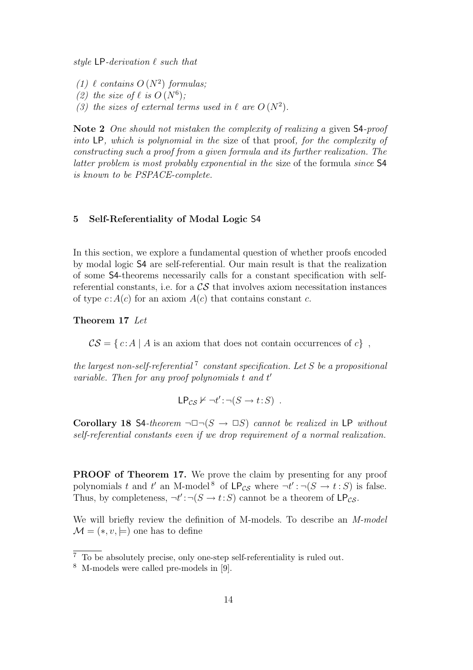style  $LP$ -derivation  $\ell$  such that

- (1)  $\ell$  contains  $O(N^2)$  formulas;
- (2) the size of  $\ell$  is  $O(N^6)$ ;
- (3) the sizes of external terms used in  $\ell$  are  $O(N^2)$ .

Note 2 One should not mistaken the complexity of realizing a given S4-proof into LP, which is polynomial in the size of that proof, for the complexity of constructing such a proof from a given formula and its further realization. The latter problem is most probably exponential in the size of the formula since S4 is known to be PSPACE-complete.

#### 5 Self-Referentiality of Modal Logic S4

In this section, we explore a fundamental question of whether proofs encoded by modal logic S4 are self-referential. Our main result is that the realization of some S4-theorems necessarily calls for a constant specification with selfreferential constants, i.e. for a  $\mathcal{CS}$  that involves axiom necessitation instances of type  $c: A(c)$  for an axiom  $A(c)$  that contains constant c.

Theorem 17 Let

 $\mathcal{CS} = \{ c : A | A \text{ is an axiom that does not contain occurrences of } c \},$ 

the largest non-self-referential<sup>7</sup> constant specification. Let S be a propositional variable. Then for any proof polynomials t and t'

$$
\mathsf{LP}_{\mathcal{CS}} \nvdash \neg t' : \neg (S \rightarrow t : S) \ .
$$

Corollary 18 S4-theorem  $\neg \Box \neg (S \rightarrow \Box S)$  cannot be realized in LP without self-referential constants even if we drop requirement of a normal realization.

PROOF of Theorem 17. We prove the claim by presenting for any proof polynomials t and t' an M-model<sup>8</sup> of  $\mathsf{LP}_{\mathcal{CS}}$  where  $\neg t': \neg (S \rightarrow t : S)$  is false. Thus, by completeness,  $\neg t' : \neg (S \rightarrow t : S)$  cannot be a theorem of  $\mathsf{LP}_{\mathcal{CS}}$ .

We will briefly review the definition of M-models. To describe an M-model  $\mathcal{M} = (*, v, \models)$  one has to define

 $\frac{7}{7}$  To be absolutely precise, only one-step self-referentiality is ruled out.

<sup>8</sup> M-models were called pre-models in [9].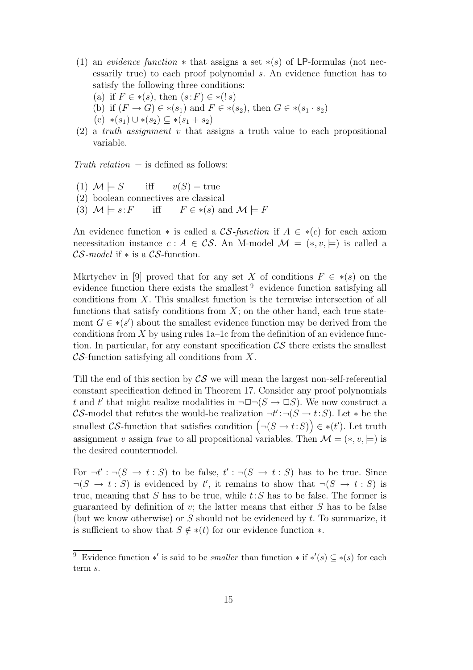- (1) an evidence function  $*$  that assigns a set  $*(s)$  of LP-formulas (not necessarily true) to each proof polynomial s. An evidence function has to satisfy the following three conditions:
	- (a) if  $F \in *(s)$ , then  $(s: F) \in *(!s)$
	- (b) if  $(F \to G) \in *(s_1)$  and  $F \in *(s_2)$ , then  $G \in *(s_1 \cdot s_2)$
	- $(c)$  \* $(s_1)$  ∪ \* $(s_2)$  ⊆ \* $(s_1 + s_2)$
- $(2)$  a truth assignment v that assigns a truth value to each propositional variable.

Truth relation  $\models$  is defined as follows:

(1)  $\mathcal{M} \models S$  iff  $v(S) = \text{true}$ (2) boolean connectives are classical (3)  $\mathcal{M} \models s : F$  iff  $F \in *(s)$  and  $\mathcal{M} \models F$ 

An evidence function  $*$  is called a CS-function if  $A \in *c$  for each axiom necessitation instance  $c : A \in \mathcal{CS}$ . An M-model  $\mathcal{M} = (*, v, \models)$  is called a  $\mathcal{CS}\text{-}model$  if  $*$  is a  $\mathcal{CS}\text{-}function$ .

Mkrtychev in [9] proved that for any set X of conditions  $F \in * (s)$  on the evidence function there exists the smallest <sup>9</sup> evidence function satisfying all conditions from  $X$ . This smallest function is the termwise intersection of all functions that satisfy conditions from  $X$ ; on the other hand, each true statement  $G \in \mathcal{F}(s')$  about the smallest evidence function may be derived from the conditions from X by using rules  $1a-1c$  from the definition of an evidence function. In particular, for any constant specification  $\mathcal{CS}$  there exists the smallest  $\mathcal{CS}\text{-}$ function satisfying all conditions from X.

Till the end of this section by  $\mathcal{CS}$  we will mean the largest non-self-referential constant specification defined in Theorem 17. Consider any proof polynomials t and t' that might realize modalities in  $\neg \Box \neg (S \rightarrow \Box S)$ . We now construct a CS-model that refutes the would-be realization  $\neg t' : \neg (S \rightarrow t : S)$ . Let  $*$  be the smallest CS-function that satisfies condition  $(\neg (S \rightarrow t : S)) \in *(t')$ . Let truth assignment v assign true to all propositional variables. Then  $\mathcal{M} = (*, v, \models)$  is the desired countermodel.

For  $\neg t' : \neg (S \rightarrow t : S)$  to be false,  $t' : \neg (S \rightarrow t : S)$  has to be true. Since  $\neg(S \rightarrow t : S)$  is evidenced by t', it remains to show that  $\neg(S \rightarrow t : S)$  is true, meaning that S has to be true, while  $t: S$  has to be false. The former is guaranteed by definition of v; the latter means that either  $S$  has to be false (but we know otherwise) or  $S$  should not be evidenced by  $t$ . To summarize, it is sufficient to show that  $S \notin *(t)$  for our evidence function  $*$ .

<sup>&</sup>lt;sup>9</sup> Evidence function \*' is said to be *smaller* than function \* if \*'(s)  $\subseteq$  \*(s) for each term s.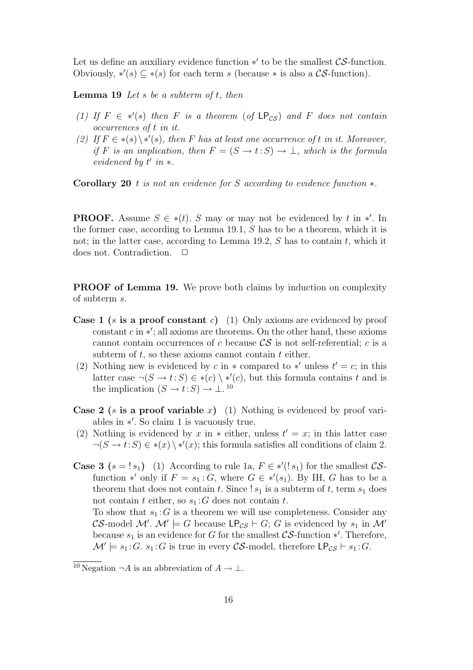Let us define an auxiliary evidence function  $*'$  to be the smallest  $\mathcal{CS}\text{-function}$ . Obviously,  $\ast'(s) \subseteq \ast(s)$  for each term s (because  $\ast$  is also a CS-function).

**Lemma 19** Let s be a subterm of  $t$ , then

- (1) If  $F \in *'(s)$  then F is a theorem (of  $\mathsf{LP}_{CS}$ ) and F does not contain occurrences of t in it.
- (2) If  $F \in *(s) \setminus *(s)$ , then F has at least one occurrence of t in it. Moreover, if F is an implication, then  $F = (S \rightarrow t : S) \rightarrow \bot$ , which is the formula evidenced by  $t'$  in  $*$ .

Corollary 20 t is not an evidence for S according to evidence function  $*$ .

**PROOF.** Assume  $S \in *(t)$ . S may or may not be evidenced by t in \*'. In the former case, according to Lemma 19.1, S has to be a theorem, which it is not; in the latter case, according to Lemma 19.2,  $S$  has to contain  $t$ , which it does not. Contradiction.  $\Box$ 

**PROOF of Lemma 19.** We prove both claims by induction on complexity of subterm s.

- **Case 1** (s is a proof constant c) (1) Only axioms are evidenced by proof  $\frac{1}{\text{constant }c}$  in \*'; all axioms are theorems. On the other hand, these axioms cannot contain occurrences of c because  $\mathcal{CS}$  is not self-referential; c is a subterm of  $t$ , so these axioms cannot contain  $t$  either.
- (2) Nothing new is evidenced by c in  $*$  compared to  $*'$  unless  $t' = c$ ; in this latter case  $\neg(S \to t : S) \in *(c) \setminus *(c)$ , but this formula contains t and is the implication  $(S \to t: S) \to \bot$ .<sup>10</sup>
- **Case 2** (s is a proof variable x) (1) Nothing is evidenced by proof variables in ∗ ′ . So claim 1 is vacuously true.
- (2) Nothing is evidenced by x in  $*$  either, unless  $t' = x$ ; in this latter case  $\neg(S \to t : S) \in *(x) \setminus *(x);$  this formula satisfies all conditions of claim 2.
- **Case 3**  $(s = 1s_1)$  (1) According to rule 1a,  $F \in *'(1s_1)$  for the smallest CSfunction \*' only if  $F = s_1 : G$ , where  $G \in *'(s_1)$ . By IH, G has to be a theorem that does not contain t. Since !  $s_1$  is a subterm of t, term  $s_1$  does not contain t either, so  $s_1$ : G does not contain t.

To show that  $s_1 : G$  is a theorem we will use completeness. Consider any CS-model M'.  $\mathcal{M}' \models G$  because  $\mathsf{LP}_{CS} \vdash G$ ; G is evidenced by  $s_1$  in  $\mathcal{M}'$ because  $s_1$  is an evidence for G for the smallest  $\mathcal{CS}\text{-}\mathrm{function} *'$ . Therefore,  $\mathcal{M}' \models s_1 : G. s_1 : G$  is true in every CS-model, therefore  $\mathsf{LP}_{CS} \vdash s_1 : G$ .

<sup>&</sup>lt;sup>10</sup> Negation  $\neg A$  is an abbreviation of  $A \to \bot$ .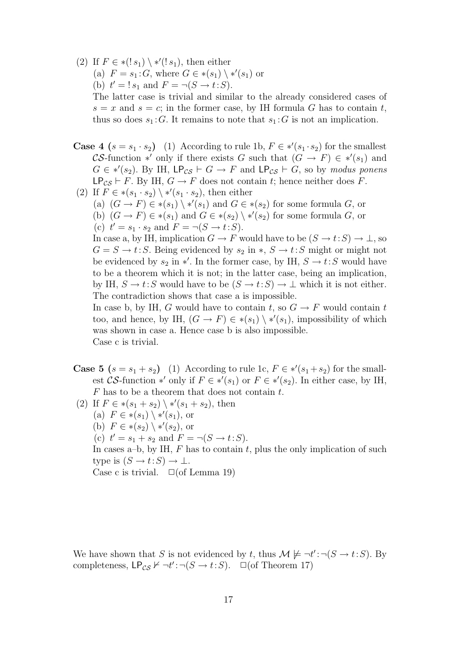(2) If  $F \in \mathcal{K}(s_1) \setminus \mathcal{K}'(s_1)$ , then either

(a)  $F = s_1 : G$ , where  $G \in \ast(s_1) \setminus \ast'(s_1)$  or

(b)  $t' = ! s_1$  and  $F = \neg(S \rightarrow t : S)$ .

The latter case is trivial and similar to the already considered cases of  $s = x$  and  $s = c$ ; in the former case, by IH formula G has to contain t, thus so does  $s_1 : G$ . It remains to note that  $s_1 : G$  is not an implication.

- **Case 4**  $(s = s_1 \cdot s_2)$  (1) According to rule 1b,  $F \in *'(s_1 \cdot s_2)$  for the smallest CS-function \*' only if there exists G such that  $(G \to F) \in *'(s_1)$  and  $G \in *'(s_2)$ . By IH,  $\mathsf{LP}_{CS} \vdash G \to F$  and  $\mathsf{LP}_{CS} \vdash G$ , so by modus ponens LP<sub>CS</sub>  $\vdash$  F. By IH,  $G \rightarrow F$  does not contain t; hence neither does F.
- (2) If  $F \in \ast(s_1 \cdot s_2) \setminus \ast'(s_1 \cdot s_2)$ , then either
	- (a)  $(G \to F) \in *(s_1) \setminus *(s_1)$  and  $G \in *(s_2)$  for some formula  $G$ , or (b)  $(G \to F) \in * (s_1)$  and  $G \in * (s_2) \setminus * (s_2)$  for some formula  $G$ , or (c)  $t' = s_1 \cdot s_2$  and  $F = \neg(S \rightarrow t : S)$ .

In case a, by IH, implication  $G \to F$  would have to be  $(S \to t: S) \to \bot$ , so  $G = S \rightarrow t : S$ . Being evidenced by  $s_2$  in  $\ast$ ,  $S \rightarrow t : S$  might or might not be evidenced by  $s_2$  in \*'. In the former case, by IH,  $S \to t: S$  would have to be a theorem which it is not; in the latter case, being an implication, by IH,  $S \to t: S$  would have to be  $(S \to t: S) \to \bot$  which it is not either. The contradiction shows that case a is impossible.

In case b, by IH, G would have to contain t, so  $G \to F$  would contain t too, and hence, by IH,  $(G \to F) \in *(s_1) \setminus *(s_1)$ , impossibility of which was shown in case a. Hence case b is also impossible. Case c is trivial.

- **Case 5**  $(s = s_1 + s_2)$  (1) According to rule 1c,  $F \in *'(s_1 + s_2)$  for the smallest CS-function \*' only if  $F \in *'(s_1)$  or  $F \in *'(s_2)$ . In either case, by IH,  $F$  has to be a theorem that does not contain  $t$ .
- (2) If  $F \in \ast(s_1 + s_2) \setminus \ast'(s_1 + s_2)$ , then (a)  $F \in *(s_1) \setminus *(s_1)$ , or (b)  $F \in \ast(s_2) \setminus \ast'(s_2)$ , or (c)  $t' = s_1 + s_2$  and  $F = \neg(S \to t : S)$ . In cases a–b, by IH,  $F$  has to contain  $t$ , plus the only implication of such type is  $(S \to t: S) \to \bot$ . Case c is trivial.  $\Box$  (of Lemma 19)

We have shown that S is not evidenced by t, thus  $\mathcal{M} \not\models \neg t' : \neg (S \rightarrow t : S)$ . By completeness,  $\mathsf{LP}_{\mathcal{CS}} \nvdash \neg t': \neg (S \rightarrow t:S)$ .  $\Box$  (of Theorem 17)